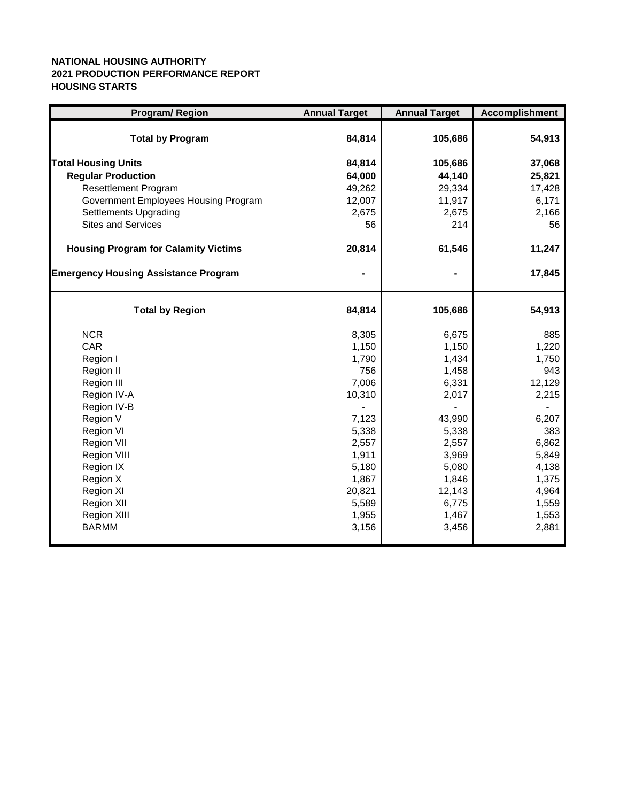## **NATIONAL HOUSING AUTHORITY 2021 PRODUCTION PERFORMANCE REPORT HOUSING STARTS**

| <b>Program/ Region</b>                      | <b>Annual Target</b> | <b>Annual Target</b> | <b>Accomplishment</b> |
|---------------------------------------------|----------------------|----------------------|-----------------------|
| <b>Total by Program</b>                     | 84,814               | 105,686              | 54,913                |
| <b>Total Housing Units</b>                  | 84,814               | 105,686              | 37,068                |
| <b>Regular Production</b>                   | 64,000               | 44,140               | 25,821                |
| <b>Resettlement Program</b>                 | 49,262               | 29,334               | 17,428                |
| Government Employees Housing Program        | 12,007               | 11,917               | 6,171                 |
| <b>Settlements Upgrading</b>                | 2,675                | 2,675                | 2,166                 |
| <b>Sites and Services</b>                   | 56                   | 214                  | 56                    |
| <b>Housing Program for Calamity Victims</b> | 20,814               | 61,546               | 11,247                |
| <b>Emergency Housing Assistance Program</b> |                      |                      | 17,845                |
| <b>Total by Region</b>                      | 84,814               | 105,686              | 54,913                |
| <b>NCR</b>                                  | 8,305                | 6,675                | 885                   |
| CAR                                         | 1,150                | 1,150                | 1,220                 |
| Region I                                    | 1,790                | 1,434                | 1,750                 |
| Region II                                   | 756                  | 1,458                | 943                   |
| Region III                                  | 7,006                | 6,331                | 12,129                |
| Region IV-A                                 | 10,310               | 2,017                | 2,215                 |
| Region IV-B                                 |                      |                      |                       |
| Region V                                    | 7,123                | 43,990               | 6,207                 |
| Region VI                                   | 5,338                | 5,338                | 383                   |
| Region VII                                  | 2,557                | 2,557                | 6,862                 |
| Region VIII                                 | 1,911                | 3,969                | 5,849                 |
| Region IX<br>Region X                       | 5,180<br>1,867       | 5,080<br>1,846       | 4,138<br>1,375        |
| Region XI                                   | 20,821               | 12,143               | 4,964                 |
| Region XII                                  | 5,589                | 6,775                | 1,559                 |
| Region XIII                                 | 1,955                | 1,467                | 1,553                 |
| <b>BARMM</b>                                | 3,156                | 3,456                | 2,881                 |